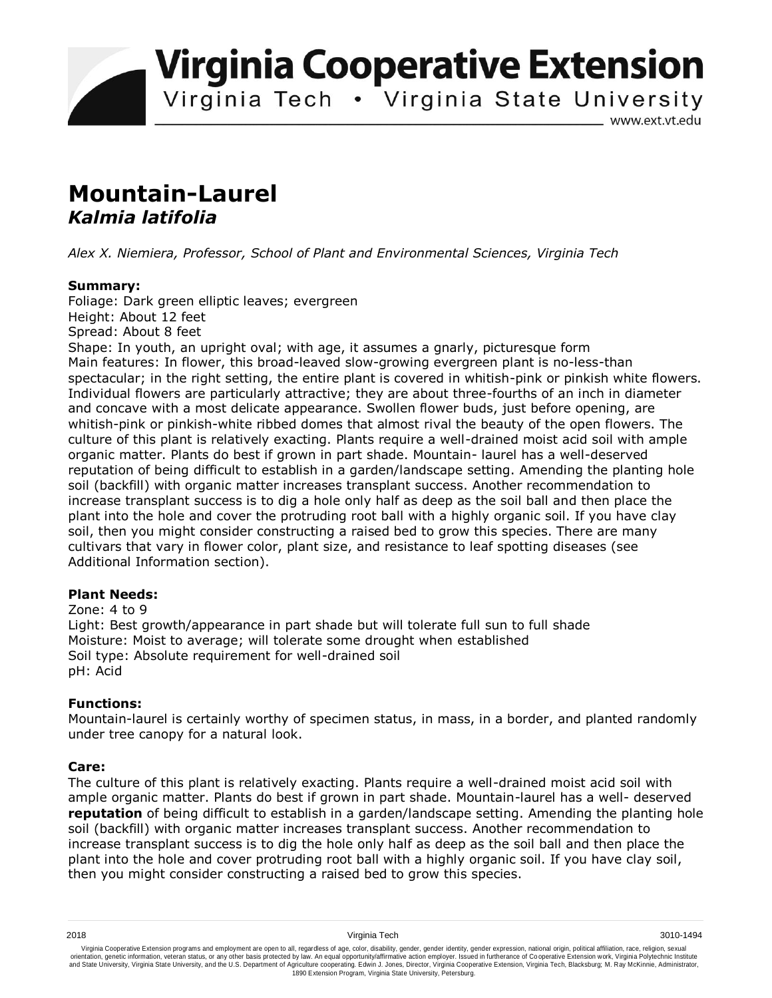**Virginia Cooperative Extension** 

Virginia Tech . Virginia State University

www.ext.vt.edu

# **Mountain-Laurel**  *Kalmia latifolia*

*Alex X. Niemiera, Professor, School of Plant and Environmental Sciences, Virginia Tech*

## **Summary:**

Foliage: Dark green elliptic leaves; evergreen Height: About 12 feet Spread: About 8 feet

Shape: In youth, an upright oval; with age, it assumes a gnarly, picturesque form Main features: In flower, this broad-leaved slow-growing evergreen plant is no-less-than spectacular; in the right setting, the entire plant is covered in whitish-pink or pinkish white flowers. Individual flowers are particularly attractive; they are about three-fourths of an inch in diameter and concave with a most delicate appearance. Swollen flower buds, just before opening, are whitish-pink or pinkish-white ribbed domes that almost rival the beauty of the open flowers. The culture of this plant is relatively exacting. Plants require a well-drained moist acid soil with ample organic matter. Plants do best if grown in part shade. Mountain- laurel has a well-deserved reputation of being difficult to establish in a garden/landscape setting. Amending the planting hole soil (backfill) with organic matter increases transplant success. Another recommendation to increase transplant success is to dig a hole only half as deep as the soil ball and then place the plant into the hole and cover the protruding root ball with a highly organic soil. If you have clay soil, then you might consider constructing a raised bed to grow this species. There are many cultivars that vary in flower color, plant size, and resistance to leaf spotting diseases (see Additional Information section).

#### **Plant Needs:**

Zone: 4 to 9 Light: Best growth/appearance in part shade but will tolerate full sun to full shade Moisture: Moist to average; will tolerate some drought when established Soil type: Absolute requirement for well-drained soil pH: Acid

## **Functions:**

Mountain-laurel is certainly worthy of specimen status, in mass, in a border, and planted randomly under tree canopy for a natural look.

#### **Care:**

The culture of this plant is relatively exacting. Plants require a well-drained moist acid soil with ample organic matter. Plants do best if grown in part shade. Mountain-laurel has a well- deserved **reputation** of being difficult to establish in a garden/landscape setting. Amending the planting hole soil (backfill) with organic matter increases transplant success. Another recommendation to increase transplant success is to dig the hole only half as deep as the soil ball and then place the plant into the hole and cover protruding root ball with a highly organic soil. If you have clay soil, then you might consider constructing a raised bed to grow this species.